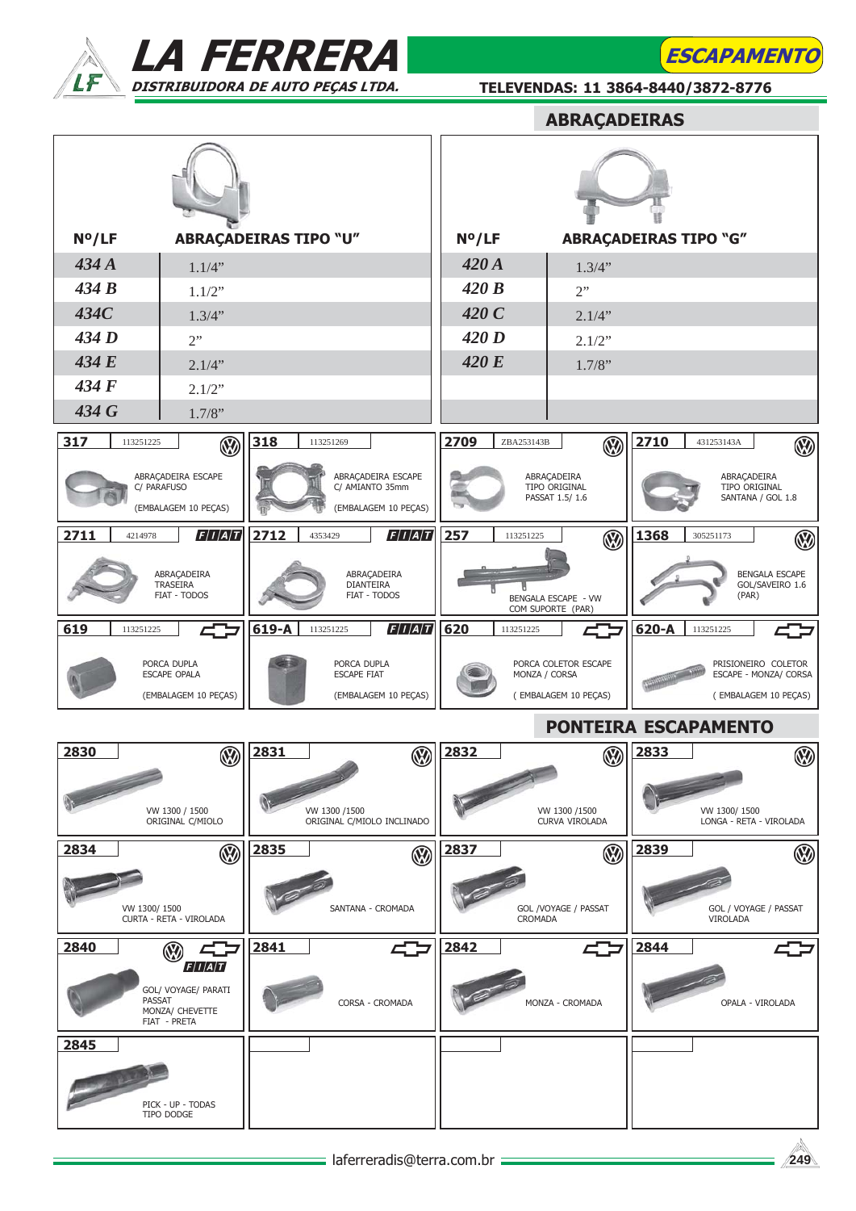



TELEVENDAS: 11 3864-8440/3872-8776

**ESCAPAMENT** 

|                                                     |                                                                   |                              |                                                 |                                            |                                                               |            | <b>ABRAÇADEIRAS</b>                            |                                                                      |              |                                        |
|-----------------------------------------------------|-------------------------------------------------------------------|------------------------------|-------------------------------------------------|--------------------------------------------|---------------------------------------------------------------|------------|------------------------------------------------|----------------------------------------------------------------------|--------------|----------------------------------------|
|                                                     |                                                                   |                              |                                                 |                                            |                                                               |            |                                                |                                                                      |              |                                        |
| N°/LF                                               |                                                                   | <b>ABRAÇADEIRAS TIPO "U"</b> |                                                 |                                            | $N^o/LF$                                                      |            | <b>ABRAÇADEIRAS TIPO "G"</b>                   |                                                                      |              |                                        |
| 434A                                                | 1.1/4"                                                            |                              |                                                 |                                            | 420A                                                          |            | 1.3/4"                                         |                                                                      |              |                                        |
| 434B                                                | 1.1/2"                                                            |                              |                                                 |                                            | 420B                                                          |            | 2"                                             |                                                                      |              |                                        |
| 434C<br>434 D                                       | 1.3/4"                                                            |                              |                                                 |                                            | 420C<br>420D                                                  |            | 2.1/4"                                         |                                                                      |              |                                        |
| 434 E                                               | 2"<br>2.1/4"                                                      |                              |                                                 |                                            | 420 E                                                         |            | 2.1/2"<br>1.7/8"                               |                                                                      |              |                                        |
| 434F                                                | 2.1/2"                                                            |                              |                                                 |                                            |                                                               |            |                                                |                                                                      |              |                                        |
| 434 G                                               | 1.7/8"                                                            |                              |                                                 |                                            |                                                               |            |                                                |                                                                      |              |                                        |
| 317<br>113251225                                    |                                                                   | 318                          | 113251269                                       |                                            | 2709                                                          | ZBA253143B |                                                | 2710                                                                 | 431253143A   |                                        |
|                                                     | $\circledR$                                                       |                              |                                                 |                                            |                                                               |            | $\circledR$                                    |                                                                      |              | ⊛                                      |
|                                                     | ABRAÇADEIRA ESCAPE<br>C/ PARAFUSO<br>(EMBALAGEM 10 PEÇAS)         |                              | C/ AMIANTO 35mm                                 | ABRAÇADEIRA ESCAPE<br>(EMBALAGEM 10 PEÇAS) |                                                               |            | ABRAÇADEIRA<br>TIPO ORIGINAL<br>PASSAT 1.5/1.6 |                                                                      | ABRAÇADEIRA  | TIPO ORIGINAL<br>SANTANA / GOL 1.8     |
| 2711<br>4214978                                     | F/I/A/T                                                           | 2712                         | 4353429                                         | F/I/A/T                                    | 257                                                           | 113251225  | $\circledS$                                    | 1368                                                                 | 305251173    | $\circledast$                          |
| ABRAÇADEIRA<br>TRASEIRA<br>FIAT - TODOS             |                                                                   |                              | ABRAÇADEIRA<br><b>DIANTEIRA</b><br>FIAT - TODOS |                                            | BENGALA ESCAPE - VW<br>COM SUPORTE (PAR)                      |            |                                                | BENGALA ESCAPE<br>GOL/SAVEIRO 1.6<br>(PAR)                           |              |                                        |
| 619<br>113251225                                    | 45                                                                | 619-A                        | 113251225                                       | F/I/A/T                                    | 620                                                           | 113251225  | 402                                            | $620 - A$                                                            | 113251225    | 402                                    |
| PORCA DUPLA<br>ESCAPE OPALA<br>(EMBALAGEM 10 PEÇAS) |                                                                   |                              | PORCA DUPLA<br><b>ESCAPE FIAT</b>               | (EMBALAGEM 10 PEÇAS)                       | PORCA COLETOR ESCAPE<br>MONZA / CORSA<br>(EMBALAGEM 10 PEÇAS) |            |                                                | PRISIONEIRO COLETOR<br>ESCAPE - MONZA/ CORSA<br>(EMBALAGEM 10 PEÇAS) |              |                                        |
|                                                     |                                                                   |                              |                                                 |                                            |                                                               |            | PONTEIRA ESCAPAMENTO                           |                                                                      |              |                                        |
| 2830                                                | W<br>VW 1300 / 1500<br>ORIGINAL C/MIOLO                           | $\sqrt{2831}$                | VW 1300 /1500                                   | ORIGINAL C/MIOLO INCLINADO                 | <b>1</b> 2832                                                 |            | VW 1300 /1500<br>CURVA VIROLADA                | <b>333</b>                                                           | VW 1300/1500 | $\circledS$<br>LONGA - RETA - VIROLADA |
| 2834                                                |                                                                   |                              |                                                 |                                            | 2837                                                          |            |                                                | 2839                                                                 |              |                                        |
| VW 1300/1500                                        | $\circledR$<br>CURTA - RETA - VIROLADA                            | 2835                         | SANTANA - CROMADA                               | $\circledR$                                |                                                               | CROMADA    | $\circledR$<br>GOL /VOYAGE / PASSAT            |                                                                      | VIROLADA     | $\circledR$<br>GOL / VOYAGE / PASSAT   |
| 2840                                                | 45<br>(V)                                                         | 2841                         |                                                 | 45                                         | 2842                                                          |            | 402                                            | 2844                                                                 |              |                                        |
| <b>PASSAT</b>                                       | F/I/A/T<br>GOL/ VOYAGE/ PARATI<br>MONZA/ CHEVETTE<br>FIAT - PRETA |                              |                                                 | CORSA - CROMADA                            |                                                               |            | MONZA - CROMADA                                |                                                                      |              | OPALA - VIROLADA                       |
| 2845                                                |                                                                   |                              |                                                 |                                            |                                                               |            |                                                |                                                                      |              |                                        |
|                                                     | PICK - UP - TODAS<br>TIPO DODGE                                   |                              |                                                 |                                            |                                                               |            |                                                |                                                                      |              |                                        |

$$
\sqrt{249}
$$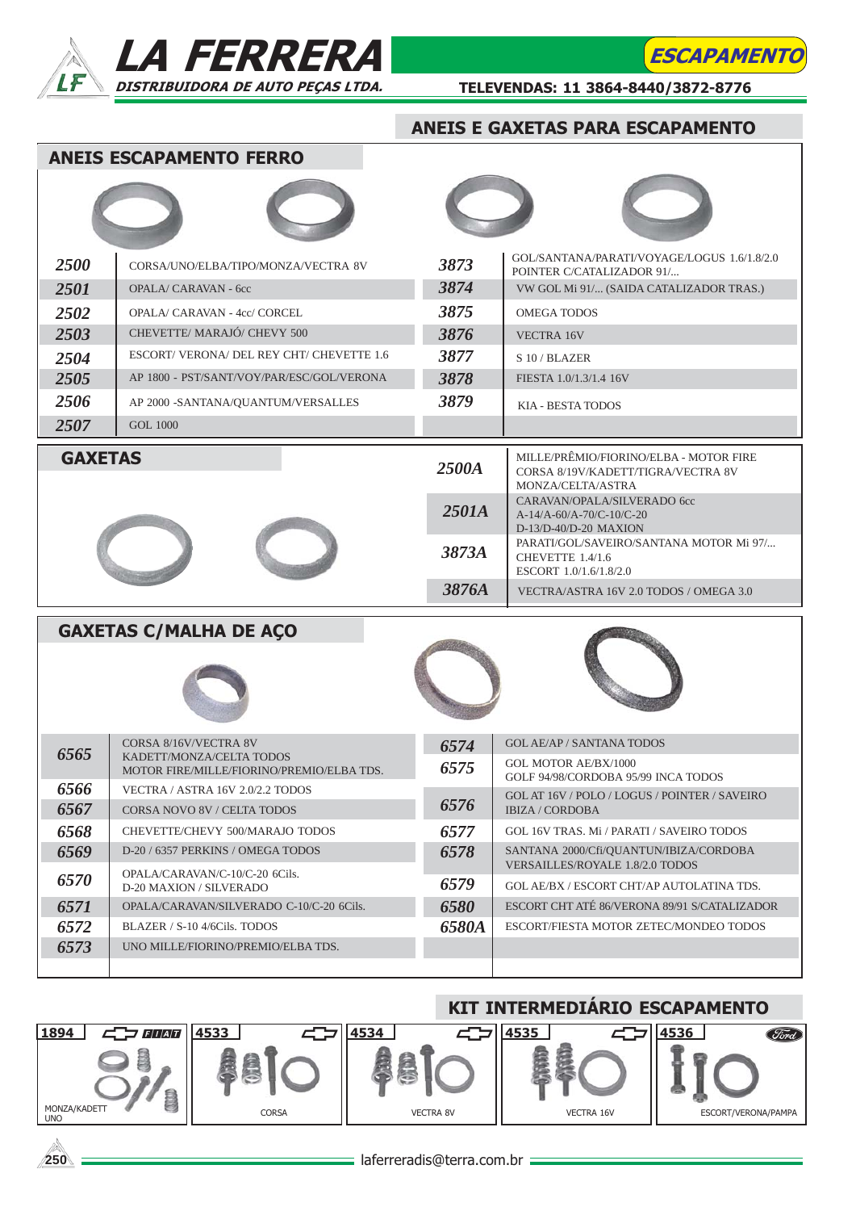





TELEVENDAS: 11 3864-8440/3872-8776

## ANEIS E GAXETAS PARA ESCAPAMENTO

ANEIS ESCAPAMENTO FERRO

| 2500           | CORSA/UNO/ELBA/TIPO/MONZA/VECTRA 8V       | 3873  | GOL/SANTANA/PARATI/VOYAGE/LOGUS 1.6/1.8/2.0<br>POINTER C/CATALIZADOR 91/                          |  |  |  |  |
|----------------|-------------------------------------------|-------|---------------------------------------------------------------------------------------------------|--|--|--|--|
| 2501           | <b>OPALA/ CARAVAN - 6cc</b>               | 3874  | VW GOL Mi 91/ (SAIDA CATALIZADOR TRAS.)                                                           |  |  |  |  |
| 2502           | OPALA/ CARAVAN - 4cc/ CORCEL              | 3875  | OMEGA TODOS                                                                                       |  |  |  |  |
| 2503           | CHEVETTE/MARAJÓ/CHEVY 500                 | 3876  | VECTRA 16V                                                                                        |  |  |  |  |
| 2504           | ESCORT/VERONA/DEL REY CHT/CHEVETTE 1.6    | 3877  | S10/BLAZER                                                                                        |  |  |  |  |
| 2505           | AP 1800 - PST/SANT/VOY/PAR/ESC/GOL/VERONA | 3878  | FIESTA 1.0/1.3/1.4 16V                                                                            |  |  |  |  |
| 2506           | AP 2000 -SANTANA/QUANTUM/VERSALLES        | 3879  | KIA - BESTA TODOS                                                                                 |  |  |  |  |
| 2507           | <b>GOL 1000</b>                           |       |                                                                                                   |  |  |  |  |
| <b>GAXETAS</b> |                                           | 2500A | MILLE/PRÊMIO/FIORINO/ELBA - MOTOR FIRE<br>CORSA 8/19V/KADETT/TIGRA/VECTRA 8V<br>MONZA/CELTA/ASTRA |  |  |  |  |
|                |                                           | 2501A | CARAVAN/OPALA/SILVERADO 6cc<br>A-14/A-60/A-70/C-10/C-20<br>$D-13/D-40/D-20$ MAXION                |  |  |  |  |
|                |                                           | 3873A | PARATI/GOL/SAVEIRO/SANTANA MOTOR Mi 97/<br>CHEVETTE 1.4/1.6<br>ESCORT 1.0/1.6/1.8/2.0             |  |  |  |  |
|                |                                           | 3876A | VECTRA/ASTRA 16V 2.0 TODOS / OMEGA 3.0                                                            |  |  |  |  |

|      | <b>GAXETAS C/MALHA DE AÇO</b>                     |              |                                                                    |  |  |  |
|------|---------------------------------------------------|--------------|--------------------------------------------------------------------|--|--|--|
|      |                                                   |              |                                                                    |  |  |  |
| 6565 | CORSA 8/16V/VECTRA 8V<br>KADETT/MONZA/CELTA TODOS | 6574         | <b>GOL AE/AP / SANTANA TODOS</b>                                   |  |  |  |
|      | MOTOR FIRE/MILLE/FIORINO/PREMIO/ELBA TDS.         | 6575         | <b>GOL MOTOR AE/BX/1000</b><br>GOLF 94/98/CORDOBA 95/99 INCA TODOS |  |  |  |
| 6566 | VECTRA / ASTRA 16V 2.0/2.2 TODOS                  |              | GOL AT 16V / POLO / LOGUS / POINTER / SAVEIRO                      |  |  |  |
| 6567 | CORSA NOVO 8V / CELTA TODOS                       | 6576         | <b>IBIZA / CORDOBA</b>                                             |  |  |  |
| 6568 | CHEVETTE/CHEVY 500/MARAJO TODOS                   | 6577         | GOL 16V TRAS. Mi / PARATI / SAVEIRO TODOS                          |  |  |  |
| 6569 | D-20 / 6357 PERKINS / OMEGA TODOS                 | 6578         | SANTANA 2000/Cfi/QUANTUN/IBIZA/CORDOBA                             |  |  |  |
|      | OPALA/CARAVAN/C-10/C-20 6Cils.                    |              | VERSAILLES/ROYALE 1.8/2.0 TODOS                                    |  |  |  |
| 6570 | D-20 MAXION / SILVERADO                           | 6579         | GOL AE/BX / ESCORT CHT/AP AUTOLATINA TDS.                          |  |  |  |
| 6571 | OPALA/CARAVAN/SILVERADO C-10/C-20 6Cils.          | 6580         | ESCORT CHT ATÉ 86/VERONA 89/91 S/CATALIZADOR                       |  |  |  |
| 6572 | BLAZER / S-10 4/6Cils. TODOS                      | <b>6580A</b> | ESCORT/FIESTA MOTOR ZETEC/MONDEO TODOS                             |  |  |  |
| 6573 | UNO MILLE/FIORINO/PREMIO/ELBA TDS.                |              |                                                                    |  |  |  |
|      |                                                   |              |                                                                    |  |  |  |

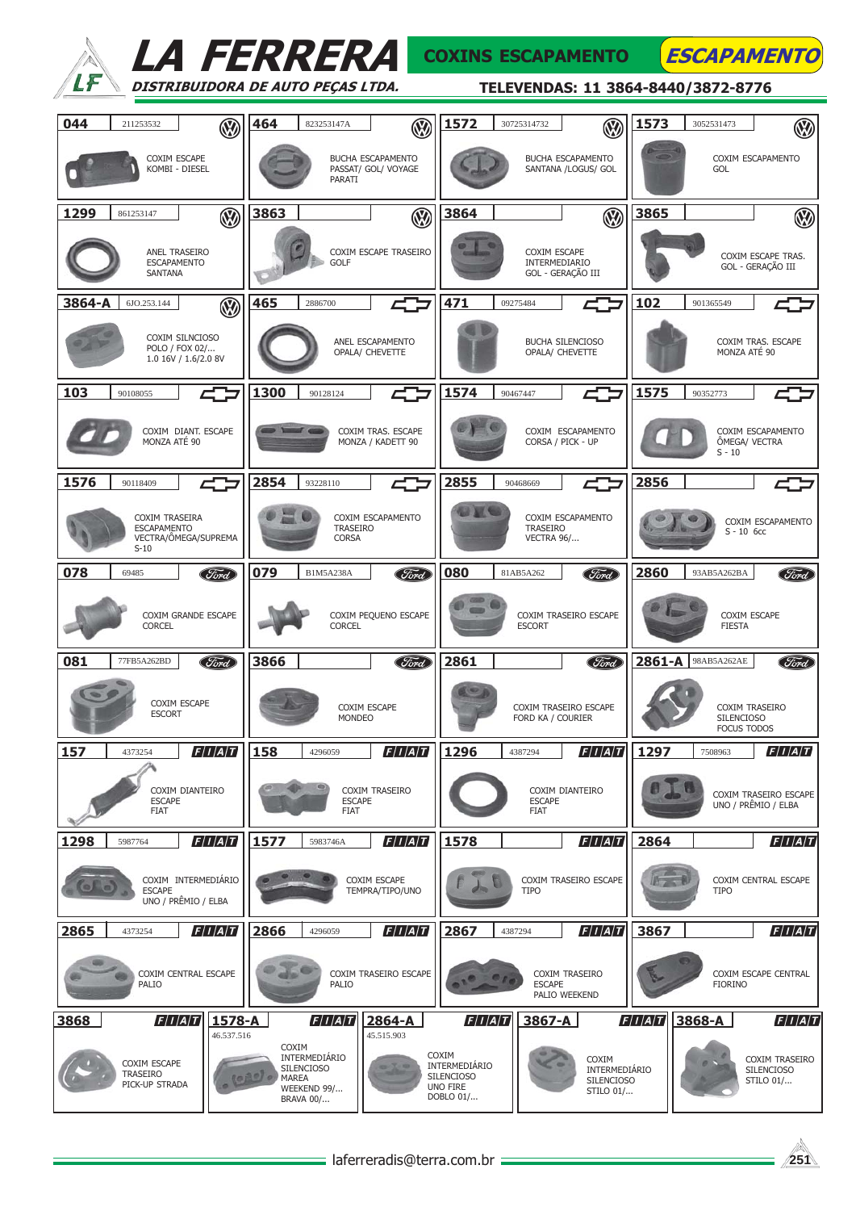|        | <i>LA FERRERA</i>                                                      |                      |                       |                                                                |                                          |                                                                             |                               | <b>COXINS ESCAPAMENTO</b>                                |         | <b>ESCAPAMENTO</b>                      |                                                  |
|--------|------------------------------------------------------------------------|----------------------|-----------------------|----------------------------------------------------------------|------------------------------------------|-----------------------------------------------------------------------------|-------------------------------|----------------------------------------------------------|---------|-----------------------------------------|--------------------------------------------------|
|        | DISTRIBUIDORA DE AUTO PEÇAS LTDA.                                      |                      |                       |                                                                |                                          |                                                                             |                               |                                                          |         | TELEVENDAS: 11 3864-8440/3872-8776      |                                                  |
| 044    | 211253532                                                              | $\mathbb{R}$         | 464                   | 823253147A                                                     | $\circledR$                              | 1572                                                                        | 30725314732                   | $\circledR$                                              | 1573    | 3052531473                              | $\circledR$                                      |
|        | COXIM ESCAPE<br>KOMBI - DIESEL                                         |                      |                       | PARATI                                                         | BUCHA ESCAPAMENTO<br>PASSAT/ GOL/ VOYAGE |                                                                             |                               | <b>BUCHA ESCAPAMENTO</b><br>SANTANA /LOGUS/ GOL          |         | <b>GOL</b>                              | COXIM ESCAPAMENTO                                |
| 1299   | 861253147                                                              | $\circledR$          | 3863                  |                                                                | $\circledR$                              | 3864                                                                        |                               | $\circledR$                                              | 3865    |                                         | $\circledR$                                      |
|        | ANEL TRASEIRO<br><b>ESCAPAMENTO</b><br>SANTANA                         |                      |                       | <b>GOLF</b>                                                    | COXIM ESCAPE TRASEIRO                    |                                                                             | COXIM ESCAPE<br>INTERMEDIARIO | GOL - GERAÇÃO III                                        |         |                                         | COXIM ESCAPE TRAS.<br>GOL - GERAÇÃO III          |
| 3864-A | 6JO.253.144                                                            | $\circledR$          | 465                   | 2886700                                                        |                                          | 471                                                                         | 09275484                      |                                                          | 102     | 901365549                               |                                                  |
|        | COXIM SILNCIOSO<br>POLO / FOX 02/<br>1.0 16V / 1.6/2.0 8V              |                      |                       |                                                                | ANEL ESCAPAMENTO<br>OPALA/ CHEVETTE      |                                                                             |                               | BUCHA SILENCIOSO<br>OPALA/ CHEVETTE                      |         | MONZA ATÉ 90                            | COXIM TRAS. ESCAPE                               |
| 103    | 90108055                                                               |                      | 1300                  | 90128124                                                       |                                          | 1574                                                                        | 90467447                      |                                                          | 1575    | 90352773                                |                                                  |
|        | COXIM DIANT. ESCAPE<br>MONZA ATÉ 90                                    |                      |                       |                                                                | COXIM TRAS. ESCAPE<br>MONZA / KADETT 90  |                                                                             |                               | COXIM ESCAPAMENTO<br>CORSA / PICK - UP                   |         | ÔMEGA/ VECTRA<br>$S - 10$               | COXIM ESCAPAMENTO                                |
| 1576   | 90118409                                                               |                      | 2854                  | 93228110                                                       | 47                                       | 2855                                                                        | 90468669                      | 47                                                       | 2856    |                                         |                                                  |
|        | COXIM TRASEIRA<br><b>ESCAPAMENTO</b><br>VECTRA/ÔMEGA/SUPREMA<br>$S-10$ |                      |                       | TRASEIRO<br><b>CORSA</b>                                       | COXIM ESCAPAMENTO                        |                                                                             | TRASEIRO<br><b>VECTRA 96/</b> | COXIM ESCAPAMENTO                                        |         | $S - 10$ 6cc                            | COXIM ESCAPAMENTO                                |
| 078    | 69485                                                                  | (Ford)               | 079                   | <b>B1M5A238A</b>                                               | <b>Ford</b>                              | 080                                                                         | 81AB5A262                     | <b>Ford</b>                                              | 2860    | 93AB5A262BA                             | (Ford)                                           |
|        | COXIM GRANDE ESCAPE<br><b>CORCEL</b>                                   |                      |                       | <b>CORCEL</b>                                                  | COXIM PEQUENO ESCAPE                     |                                                                             | <b>ESCORT</b>                 | COXIM TRASEIRO ESCAPE                                    |         | COXIM ESCAPE<br><b>FIESTA</b>           |                                                  |
| 081    | 77FB5A262BD                                                            | (Ford)               | 3866                  |                                                                | Ford                                     | 2861                                                                        |                               | (Ford)                                                   | 2861-A  | 98AB5A262AE                             | <i>Ford</i>                                      |
|        | COXIM ESCAPE<br><b>ESCORT</b>                                          |                      |                       | MONDEO                                                         | COXIM ESCAPE                             |                                                                             | FORD KA / COURIER             | COXIM TRASEIRO ESCAPE                                    |         | <b>SILENCIOSO</b><br><b>FOCUS TODOS</b> | COXIM TRASEIRO                                   |
| 157    | 4373254                                                                | F/I/A/T              | 158                   | 4296059                                                        | F/I/A/T                                  | 1296                                                                        | 4387294                       | F/I/A/T                                                  | 1297    | 7508963                                 | F/I/A/T                                          |
|        | COXIM DIANTEIRO<br><b>ESCAPE</b><br><b>FIAT</b>                        |                      |                       | <b>ESCAPE</b><br><b>FIAT</b>                                   | COXIM TRASEIRO                           |                                                                             | <b>ESCAPE</b><br><b>FIAT</b>  | COXIM DIANTEIRO                                          |         |                                         | COXIM TRASEIRO ESCAPE<br>UNO / PRÊMIO / ELBA     |
| 1298   | 5987764                                                                | F/I/A/T              | 1577                  | 5983746A                                                       | F/I/A/T                                  | 1578                                                                        |                               | F/I/A/T                                                  | 2864    |                                         | F/I/A/T                                          |
|        | COXIM INTERMEDIÁRIO<br><b>ESCAPE</b><br>UNO / PRÊMIO / ELBA            |                      |                       |                                                                | COXIM ESCAPE<br>TEMPRA/TIPO/UNO          |                                                                             | <b>TIPO</b>                   | COXIM TRASEIRO ESCAPE                                    |         | <b>TIPO</b>                             | COXIM CENTRAL ESCAPE                             |
| 2865   | 4373254                                                                | F/I/A/T              | 2866                  | 4296059                                                        | F/I/A/T                                  | 2867                                                                        | 4387294                       | F/I/A/T                                                  | 3867    |                                         | F/I/A/T                                          |
|        | COXIM CENTRAL ESCAPE<br>PALIO                                          |                      |                       | PALIO                                                          | COXIM TRASEIRO ESCAPE                    |                                                                             | <b>ESCAPE</b>                 | COXIM TRASEIRO<br>PALIO WEEKEND                          |         | <b>FIORINO</b>                          | COXIM ESCAPE CENTRAL                             |
| 3868   | F/I/A/T                                                                | 1578-A<br>46.537.516 |                       | F/I/A/T                                                        | 2864-A<br>45.515.903                     | F/I/A/T                                                                     | 3867-A                        |                                                          | F/I/A/T | 3868-A                                  | F/I/A/T                                          |
|        | COXIM ESCAPE<br><b>TRASEIRO</b><br>PICK-UP STRADA                      |                      | COXIM<br><b>MAREA</b> | INTERMEDIÁRIO<br><b>SILENCIOSO</b><br>WEEKEND 99/<br>BRAVA 00/ |                                          | COXIM<br>INTERMEDIÁRIO<br><b>SILENCIOSO</b><br><b>UNO FIRE</b><br>DOBLO 01/ |                               | COXIM<br>INTERMEDIÁRIO<br><b>SILENCIOSO</b><br>STILO 01/ |         |                                         | COXIM TRASEIRO<br><b>SILENCIOSO</b><br>STILO 01/ |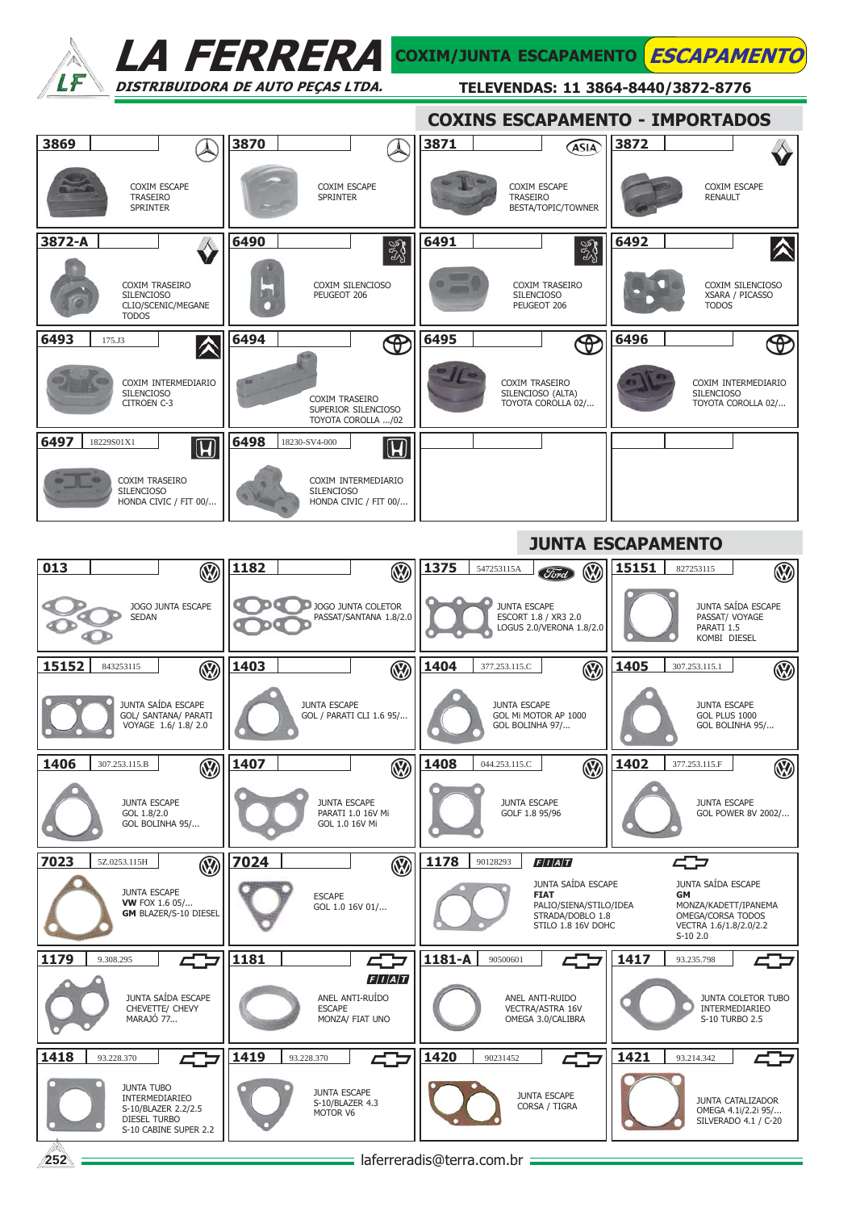

LA FERRERA COXIM/JUNTA ESCAPAMENTO ESCAPAMENTO DISTRIBUIDORA DE AUTO PEÇAS LTDA.

TELEVENDAS: 11 3864-8440/3872-8776

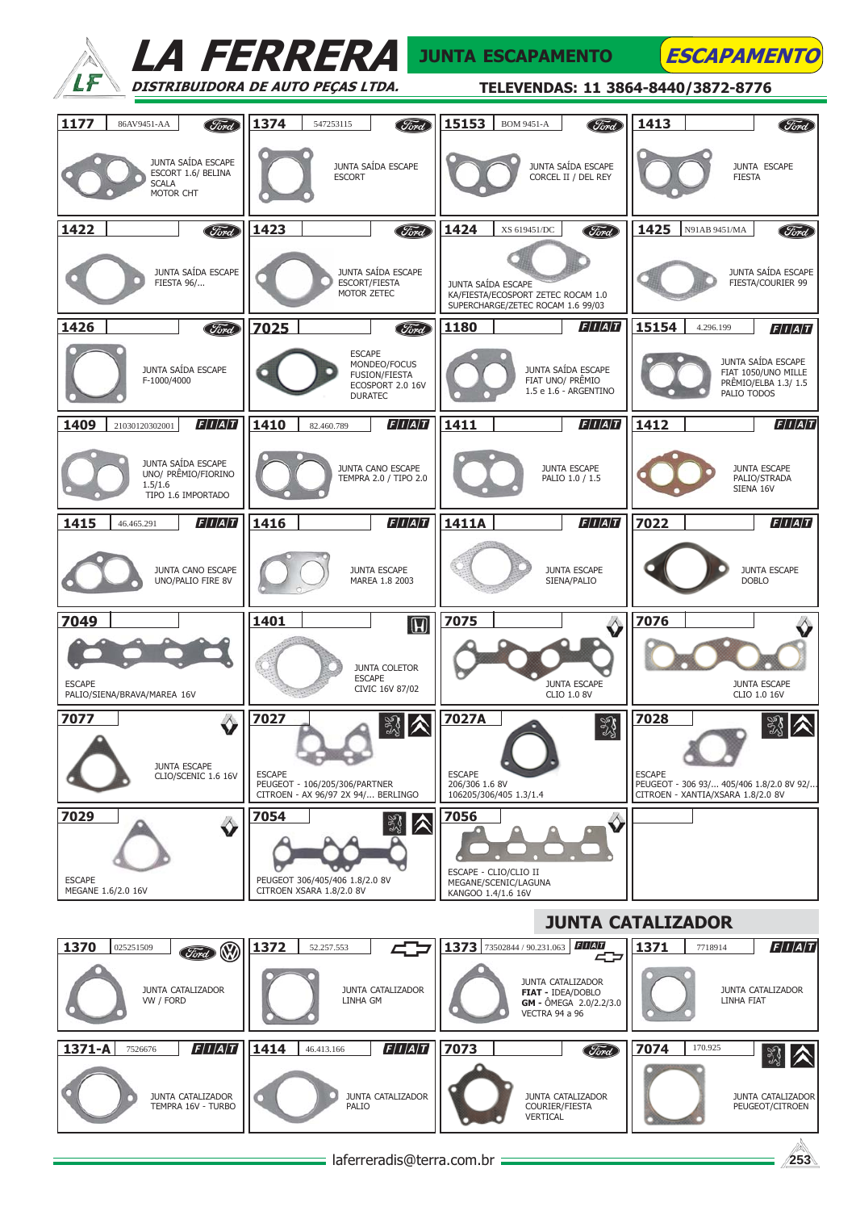|                                                                            | <i>LA FERRERA</i>                                                                           | <b>JUNTA ESCAPAMENTO</b>                                                                      | <b>ESCAPAMENTO</b>                                                                             |
|----------------------------------------------------------------------------|---------------------------------------------------------------------------------------------|-----------------------------------------------------------------------------------------------|------------------------------------------------------------------------------------------------|
|                                                                            | DISTRIBUIDORA DE AUTO PEÇAS LTDA.                                                           | TELEVENDAS: 11 3864-8440/3872-8776                                                            |                                                                                                |
| 1177<br>86AV9451-AA<br><b>Ford</b>                                         | 1374<br>Ford<br>547253115                                                                   | 15153<br>Ford<br><b>BOM 9451-A</b>                                                            | 1413<br>Ford                                                                                   |
| JUNTA SAÍDA ESCAPE<br>ESCORT 1.6/ BELINA<br><b>SCALA</b><br>MOTOR CHT      | JUNTA SAÍDA ESCAPE<br><b>ESCORT</b>                                                         | JUNTA SAÍDA ESCAPE<br>CORCEL II / DEL REY                                                     | JUNTA ESCAPE<br><b>FIESTA</b>                                                                  |
| 1422<br><b>Ford</b>                                                        | 1423<br>Ford                                                                                | 1424<br><b>Ford</b><br>XS 619451/DC                                                           | 1425<br>N91AB 9451/MA<br>Ford                                                                  |
| JUNTA SAÍDA ESCAPE<br><b>FIESTA 96/</b>                                    | JUNTA SAÍDA ESCAPE<br><b>ESCORT/FIESTA</b><br>MOTOR ZETEC                                   | JUNTA SAÍDA ESCAPE<br>KA/FIESTA/ECOSPORT ZETEC ROCAM 1.0<br>SUPERCHARGE/ZETEC ROCAM 1.6 99/03 | JUNTA SAÍDA ESCAPE<br>FIESTA/COURIER 99                                                        |
| 1426<br><b>Ford</b>                                                        | 7025<br><b>Ford</b>                                                                         | F/I/A/T<br>1180                                                                               | 15154<br>4.296.199<br>F/I/A/T                                                                  |
| JUNTA SAÍDA ESCAPE<br>F-1000/4000                                          | <b>ESCAPE</b><br>MONDEO/FOCUS<br><b>FUSION/FIESTA</b><br>ECOSPORT 2.0 16V<br><b>DURATEC</b> | JUNTA SAÍDA ESCAPE<br>FIAT UNO/ PRÊMIO<br>1.5 e 1.6 - ARGENTINO                               | JUNTA SAÍDA ESCAPE<br>FIAT 1050/UNO MILLE<br>PRÊMIO/ELBA 1.3/1.5<br>PALIO TODOS                |
| F/I/A/T<br>1409<br>21030120302001                                          | F/I/A/T<br>1410<br>82.460.789                                                               | 1411 <br>F/I/A/T                                                                              | F/I/A/T<br>1412                                                                                |
| JUNTA SAÍDA ESCAPE<br>UNO/ PRÊMIO/FIORINO<br>1.5/1.6<br>TIPO 1.6 IMPORTADO | JUNTA CANO ESCAPE<br>TEMPRA 2.0 / TIPO 2.0                                                  | <b>JUNTA ESCAPE</b><br>PALIO 1.0 / 1.5                                                        | <b>JUNTA ESCAPE</b><br>PALIO/STRADA<br>SIENA 16V                                               |
| F/I/A/T<br>1415<br>46.465.291                                              | 1416<br>F/I/A/T                                                                             | 1411A<br>F/I/A/T                                                                              | 7022<br>F/I/A/T                                                                                |
| JUNTA CANO ESCAPE<br>UNO/PALIO FIRE 8V                                     | <b>JUNTA ESCAPE</b><br>MAREA 1.8 2003                                                       | <b>JUNTA ESCAPE</b><br>SIENA/PALIO                                                            | <b>JUNTA ESCAPE</b><br><b>DOBLO</b>                                                            |
| 7049                                                                       | 1401<br>$\boxed{\textbf{H}}$                                                                | 7075                                                                                          | 7076                                                                                           |
| <b>ESCAPE</b><br>PALIO/SIENA/BRAVA/MAREA 16V                               | <b>JUNTA COLETOR</b><br><b>ESCAPE</b><br>CIVIC 16V 87/02                                    | <b>JUNTA ESCAPE</b><br>CLIO 1.0 8V                                                            | <b>JUNTA ESCAPE</b><br>CLIO 1.0 16V                                                            |
| 7077<br>♦                                                                  | 7027<br>認入                                                                                  | 7027A<br>$\mathbb{S}^3$                                                                       | 7028                                                                                           |
| <b>JUNTA ESCAPE</b><br>CLIO/SCENIC 1.6 16V                                 | <b>ESCAPE</b><br>PEUGEOT - 106/205/306/PARTNER<br>CITROEN - AX 96/97 2X 94/ BERLINGO        | <b>ESCAPE</b><br>206/306 1.6 8V<br>106205/306/405 1.3/1.4                                     | <b>ESCAPE</b><br>PEUGEOT - 306 93/ 405/406 1.8/2.0 8V 92/<br>CITROEN - XANTIA/XSARA 1.8/2.0 8V |
| 7029<br>♦                                                                  | 7054<br>∛<br> ∧                                                                             | 7056                                                                                          |                                                                                                |
| <b>ESCAPE</b><br>MEGANE 1.6/2.0 16V                                        | PEUGEOT 306/405/406 1.8/2.0 8V<br>CITROEN XSARA 1.8/2.0 8V                                  | ESCAPE - CLIO/CLIO II<br>MEGANE/SCENIC/LAGUNA<br>KANGOO 1.4/1.6 16V                           |                                                                                                |
|                                                                            |                                                                                             |                                                                                               | <b>JUNTA CATALIZADOR</b>                                                                       |
| 1370<br>025251509<br>W<br><b>Ford</b>                                      | 1372<br>52.257.553                                                                          | F/I/A/T<br>1373 73502844 / 90.231.063                                                         | F/I/A/T<br>1371<br>7718914                                                                     |
| JUNTA CATALIZADOR<br>VW / FORD                                             | <b>JUNTA CATALIZADOR</b><br>LINHA GM                                                        | <b>JUNTA CATALIZADOR</b><br>FIAT - IDEA/DOBLO<br>GM - ÔMEGA 2.0/2.2/3.0<br>VECTRA 94 a 96     | JUNTA CATALIZADOR<br>LINHA FIAT                                                                |
| F/I/A/T<br>1371-A<br>7526676                                               | F/I/A/T<br>1414<br>46.413.166                                                               | 7073<br>Ford                                                                                  | 7074<br>170.925<br>認入                                                                          |
| JUNTA CATALIZADOR<br>TEMPRA 16V - TURBO                                    | JUNTA CATALIZADOR<br>PALIO                                                                  | JUNTA CATALIZADOR<br>COURIER/FIESTA<br>VERTICAL                                               | <b>JUNTA CATALIZADOR</b><br>PEUGEOT/CITROEN                                                    |
|                                                                            | laferreradis@terra.com.br                                                                   |                                                                                               | 253                                                                                            |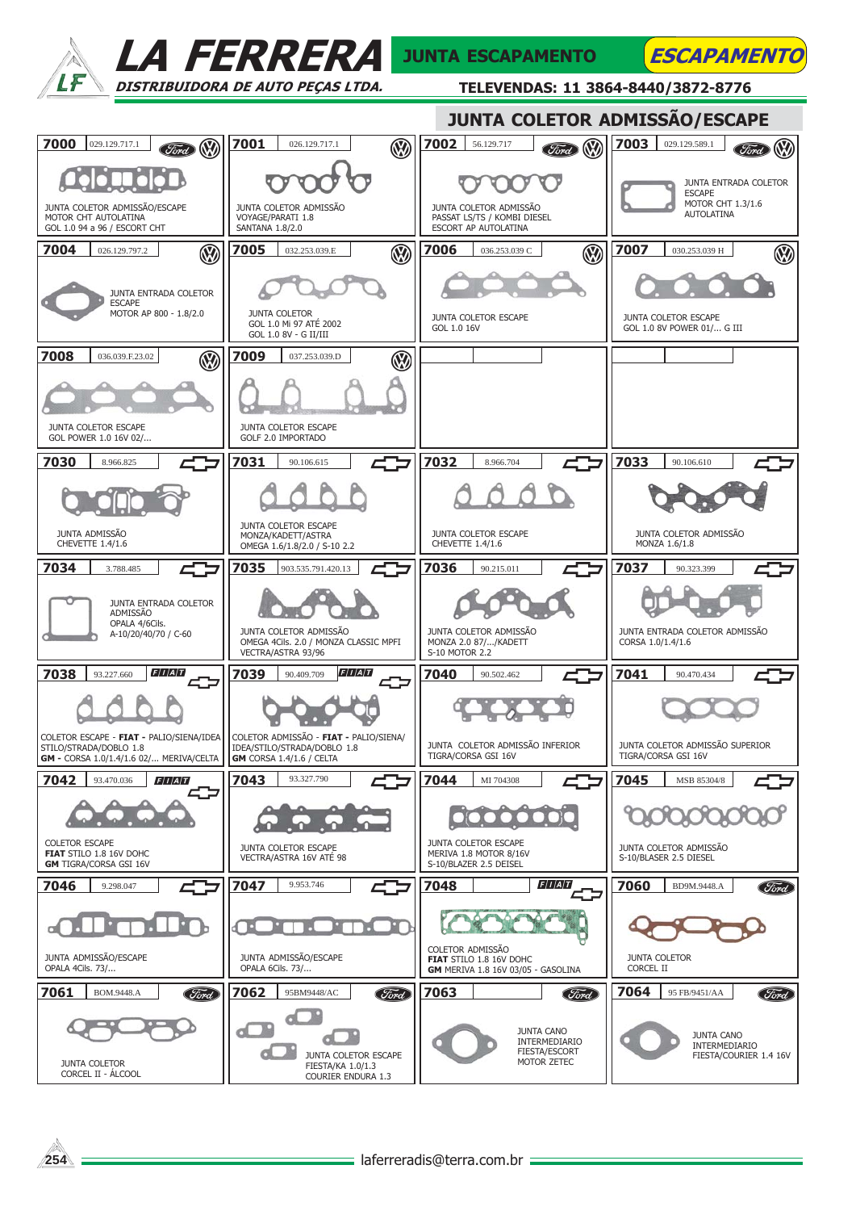

LA FERRERA DISTRIBUIDORA DE AUTO PEÇAS LTDA.

## JUNTA ESCAPAMENTO

TELEVENDAS: 11 3864-8440/3872-8776

**ESCAPAMENTO**